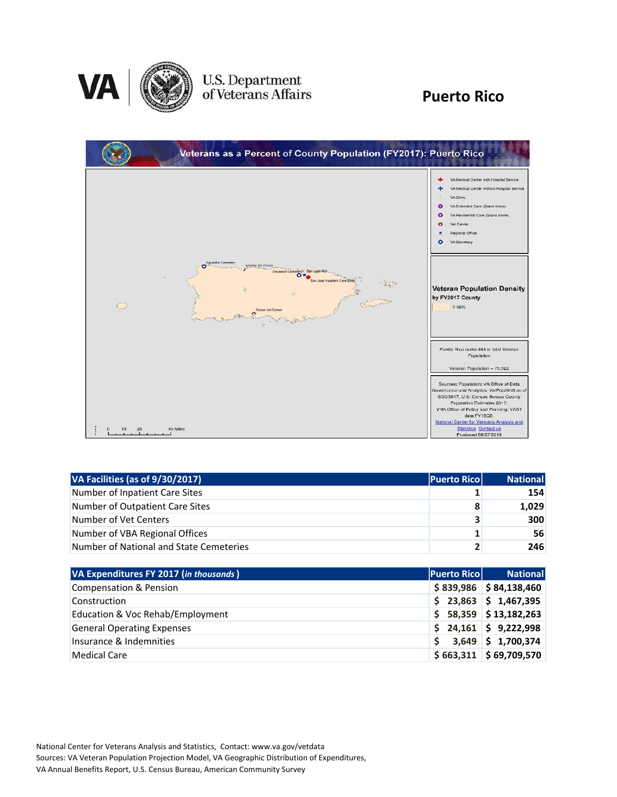

# U.S. Department<br>of Veterans Affairs

#### **Puerto Rico**

| Veterans as a Percent of County Population (FY2017): Puerto Rico                                                                                                                 |                                                                                                                                                                                                                                                                                                                           |
|----------------------------------------------------------------------------------------------------------------------------------------------------------------------------------|---------------------------------------------------------------------------------------------------------------------------------------------------------------------------------------------------------------------------------------------------------------------------------------------------------------------------|
|                                                                                                                                                                                  | VA Medical Center with Hospital Service<br>VA Medical Center without Hospital Service<br>VA Clinic<br>VA Extended Care (Stand Alone)<br>Θ<br>VA Residential Care (Stand Alone)<br>Θ<br>o<br>Vet Center<br>Regional Office<br>ົ<br>VA Cemetery                                                                             |
| Aguadilla Cemetary<br>Arecipo Vet Center<br>Bayamon Cemetery <sup>5</sup> San Juan-<br>n.<br>ian Juan Inpatient Care Sites<br>Copta<br>ić)<br>$\ddot{\circ}$<br>Ponce Vet Center | <b>Veteran Population Density</b><br>by FY2017 County<br>2.38%                                                                                                                                                                                                                                                            |
|                                                                                                                                                                                  | Puerto Rico ranks #44 in total Veteran<br>Population<br>Veteran Population = 79,322                                                                                                                                                                                                                                       |
| 20<br>40 Miles<br>10                                                                                                                                                             | Sources: Population: VA Office of Data<br>Governance and Analytics: VetPop2016 as of<br>9/30/2017, U.S. Census Bureau County<br>Population Estimates 2017.<br>VHA Office of Policy and Planning: VAST<br>data FY18Q2.<br>National Center for Veterans Analysis and<br><b>Statistics Contact us</b><br>Produced 09/27/2018 |

| VA Facilities (as of 9/30/2017)         | <b>Puerto Rico</b> | <b>National</b> |
|-----------------------------------------|--------------------|-----------------|
| Number of Inpatient Care Sites          |                    | 154             |
| Number of Outpatient Care Sites         | 8                  | 1,029           |
| Number of Vet Centers                   | 3                  | 300             |
| Number of VBA Regional Offices          | 1                  | 56              |
| Number of National and State Cemeteries | $\mathbf{z}$       | 246             |

| VA Expenditures FY 2017 (in thousands) | <b>Puerto Rico</b> | <b>National</b>          |
|----------------------------------------|--------------------|--------------------------|
| <b>Compensation &amp; Pension</b>      |                    | $$839,986$ $$84,138,460$ |
| Construction                           |                    | $$23,863$ $$1,467,395$   |
| Education & Voc Rehab/Employment       |                    | $$58,359$ $$13,182,263$  |
| <b>General Operating Expenses</b>      |                    | $$24,161$ $$9,222,998$   |
| Insurance & Indemnities                |                    | $3,649$ \$ 1,700,374     |
| <b>Medical Care</b>                    |                    | $$663,311$ $$69,709,570$ |

National Center for Veterans Analysis and Statistics, Contact: www.va.gov/vetdata Sources: VA Veteran Population Projection Model, VA Geographic Distribution of Expenditures, VA Annual Benefits Report, U.S. Census Bureau, American Community Survey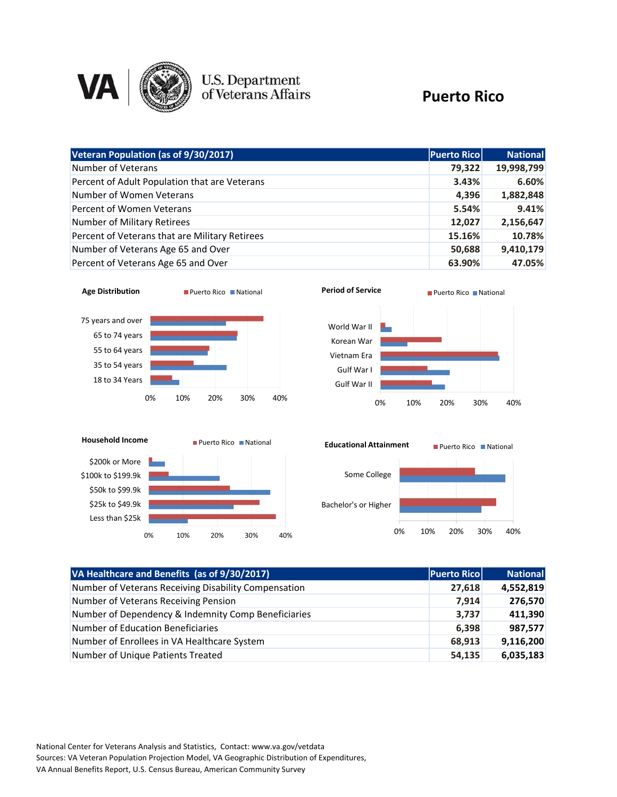

### **U.S. Department**<br>of Veterans Affairs

#### **Puerto Rico**

| Veteran Population (as of 9/30/2017)           | <b>Puerto Rico</b> | <b>National</b> |
|------------------------------------------------|--------------------|-----------------|
| Number of Veterans                             | 79,322             | 19,998,799      |
| Percent of Adult Population that are Veterans  | 3.43%              | 6.60%           |
| Number of Women Veterans                       | 4,396              | 1,882,848       |
| Percent of Women Veterans                      | 5.54%              | 9.41%           |
| Number of Military Retirees                    | 12,027             | 2,156,647       |
| Percent of Veterans that are Military Retirees | 15.16%             | 10.78%          |
| Number of Veterans Age 65 and Over             | 50,688             | 9,410,179       |
| Percent of Veterans Age 65 and Over            | 63.90%             | 47.05%          |









| VA Healthcare and Benefits (as of 9/30/2017)         | <b>Puerto Ricol</b> | <b>National</b> |
|------------------------------------------------------|---------------------|-----------------|
| Number of Veterans Receiving Disability Compensation | 27,618              | 4,552,819       |
| Number of Veterans Receiving Pension                 | 7,914               | 276,570         |
| Number of Dependency & Indemnity Comp Beneficiaries  | 3,737               | 411,390         |
| <b>Number of Education Beneficiaries</b>             | 6,398               | 987,577         |
| Number of Enrollees in VA Healthcare System          | 68,913              | 9,116,200       |
| Number of Unique Patients Treated                    | 54,135              | 6,035,183       |

National Center for Veterans Analysis and Statistics, Contact: www.va.gov/vetdata Sources: VA Veteran Population Projection Model, VA Geographic Distribution of Expenditures, VA Annual Benefits Report, U.S. Census Bureau, American Community Survey